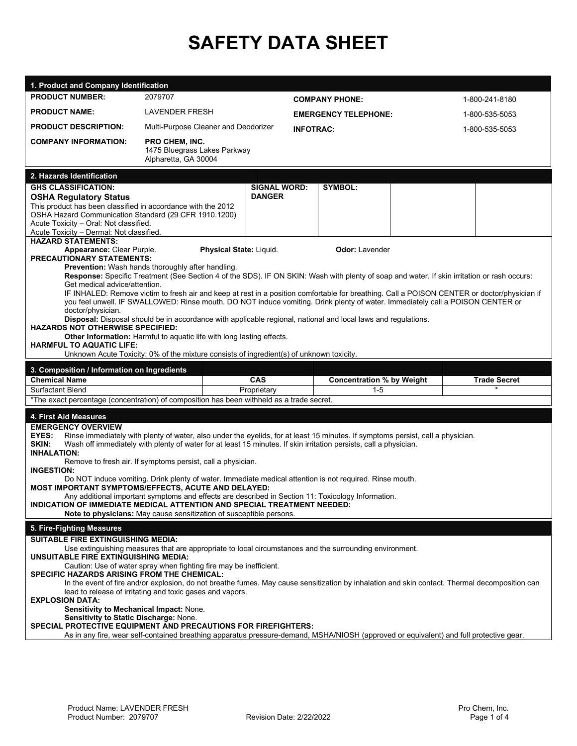## **SAFETY DATA SHEET**

| 1. Product and Company Identification                                                                                                                                                                                                                                                                                                                                                                                                                                                                                                                                                                                                                                                                                                                                                                                                                                                                               |                                                                                                                                                                                                                                                                                                                                                                                                                                                                                                                                                                                                              |                                      |                                  |  |                     |  |  |  |
|---------------------------------------------------------------------------------------------------------------------------------------------------------------------------------------------------------------------------------------------------------------------------------------------------------------------------------------------------------------------------------------------------------------------------------------------------------------------------------------------------------------------------------------------------------------------------------------------------------------------------------------------------------------------------------------------------------------------------------------------------------------------------------------------------------------------------------------------------------------------------------------------------------------------|--------------------------------------------------------------------------------------------------------------------------------------------------------------------------------------------------------------------------------------------------------------------------------------------------------------------------------------------------------------------------------------------------------------------------------------------------------------------------------------------------------------------------------------------------------------------------------------------------------------|--------------------------------------|----------------------------------|--|---------------------|--|--|--|
| <b>PRODUCT NUMBER:</b>                                                                                                                                                                                                                                                                                                                                                                                                                                                                                                                                                                                                                                                                                                                                                                                                                                                                                              | 2079707                                                                                                                                                                                                                                                                                                                                                                                                                                                                                                                                                                                                      |                                      | <b>COMPANY PHONE:</b>            |  | 1-800-241-8180      |  |  |  |
| <b>PRODUCT NAME:</b>                                                                                                                                                                                                                                                                                                                                                                                                                                                                                                                                                                                                                                                                                                                                                                                                                                                                                                | LAVENDER FRESH                                                                                                                                                                                                                                                                                                                                                                                                                                                                                                                                                                                               |                                      | <b>EMERGENCY TELEPHONE:</b>      |  | 1-800-535-5053      |  |  |  |
| <b>PRODUCT DESCRIPTION:</b>                                                                                                                                                                                                                                                                                                                                                                                                                                                                                                                                                                                                                                                                                                                                                                                                                                                                                         | Multi-Purpose Cleaner and Deodorizer                                                                                                                                                                                                                                                                                                                                                                                                                                                                                                                                                                         | <b>INFOTRAC:</b>                     |                                  |  | 1-800-535-5053      |  |  |  |
| <b>COMPANY INFORMATION:</b>                                                                                                                                                                                                                                                                                                                                                                                                                                                                                                                                                                                                                                                                                                                                                                                                                                                                                         | PRO CHEM, INC.<br>1475 Bluegrass Lakes Parkway<br>Alpharetta, GA 30004                                                                                                                                                                                                                                                                                                                                                                                                                                                                                                                                       |                                      |                                  |  |                     |  |  |  |
| 2. Hazards Identification                                                                                                                                                                                                                                                                                                                                                                                                                                                                                                                                                                                                                                                                                                                                                                                                                                                                                           |                                                                                                                                                                                                                                                                                                                                                                                                                                                                                                                                                                                                              |                                      |                                  |  |                     |  |  |  |
| <b>GHS CLASSIFICATION:</b><br><b>OSHA Regulatory Status</b><br>This product has been classified in accordance with the 2012<br>OSHA Hazard Communication Standard (29 CFR 1910.1200)<br>Acute Toxicity - Oral: Not classified.<br>Acute Toxicity - Dermal: Not classified.<br><b>HAZARD STATEMENTS:</b>                                                                                                                                                                                                                                                                                                                                                                                                                                                                                                                                                                                                             |                                                                                                                                                                                                                                                                                                                                                                                                                                                                                                                                                                                                              | <b>SIGNAL WORD:</b><br><b>DANGER</b> | <b>SYMBOL:</b>                   |  |                     |  |  |  |
| Appearance: Clear Purple.                                                                                                                                                                                                                                                                                                                                                                                                                                                                                                                                                                                                                                                                                                                                                                                                                                                                                           | Physical State: Liquid.                                                                                                                                                                                                                                                                                                                                                                                                                                                                                                                                                                                      |                                      | <b>Odor: Lavender</b>            |  |                     |  |  |  |
| <b>PRECAUTIONARY STATEMENTS:</b>                                                                                                                                                                                                                                                                                                                                                                                                                                                                                                                                                                                                                                                                                                                                                                                                                                                                                    |                                                                                                                                                                                                                                                                                                                                                                                                                                                                                                                                                                                                              |                                      |                                  |  |                     |  |  |  |
| <b>Prevention:</b> Wash hands thoroughly after handling.<br>Response: Specific Treatment (See Section 4 of the SDS). IF ON SKIN: Wash with plenty of soap and water. If skin irritation or rash occurs:<br>Get medical advice/attention.<br>IF INHALED: Remove victim to fresh air and keep at rest in a position comfortable for breathing. Call a POISON CENTER or doctor/physician if<br>you feel unwell. IF SWALLOWED: Rinse mouth. DO NOT induce vomiting. Drink plenty of water. Immediately call a POISON CENTER or<br>doctor/physician.<br>Disposal: Disposal should be in accordance with applicable regional, national and local laws and regulations.<br><b>HAZARDS NOT OTHERWISE SPECIFIED:</b><br>Other Information: Harmful to aquatic life with long lasting effects.<br><b>HARMFUL TO AQUATIC LIFE:</b><br>Unknown Acute Toxicity: 0% of the mixture consists of ingredient(s) of unknown toxicity. |                                                                                                                                                                                                                                                                                                                                                                                                                                                                                                                                                                                                              |                                      |                                  |  |                     |  |  |  |
|                                                                                                                                                                                                                                                                                                                                                                                                                                                                                                                                                                                                                                                                                                                                                                                                                                                                                                                     |                                                                                                                                                                                                                                                                                                                                                                                                                                                                                                                                                                                                              |                                      |                                  |  |                     |  |  |  |
|                                                                                                                                                                                                                                                                                                                                                                                                                                                                                                                                                                                                                                                                                                                                                                                                                                                                                                                     |                                                                                                                                                                                                                                                                                                                                                                                                                                                                                                                                                                                                              |                                      |                                  |  |                     |  |  |  |
| 3. Composition / Information on Ingredients<br><b>Chemical Name</b>                                                                                                                                                                                                                                                                                                                                                                                                                                                                                                                                                                                                                                                                                                                                                                                                                                                 |                                                                                                                                                                                                                                                                                                                                                                                                                                                                                                                                                                                                              | <b>CAS</b>                           | <b>Concentration % by Weight</b> |  | <b>Trade Secret</b> |  |  |  |
| Surfactant Blend                                                                                                                                                                                                                                                                                                                                                                                                                                                                                                                                                                                                                                                                                                                                                                                                                                                                                                    |                                                                                                                                                                                                                                                                                                                                                                                                                                                                                                                                                                                                              | Proprietary                          | $1 - 5$                          |  |                     |  |  |  |
| *The exact percentage (concentration) of composition has been withheld as a trade secret.                                                                                                                                                                                                                                                                                                                                                                                                                                                                                                                                                                                                                                                                                                                                                                                                                           |                                                                                                                                                                                                                                                                                                                                                                                                                                                                                                                                                                                                              |                                      |                                  |  |                     |  |  |  |
| 4. First Aid Measures<br><b>EMERGENCY OVERVIEW</b><br>EYES:<br>SKIN:<br><b>INHALATION:</b><br><b>INGESTION:</b><br>MOST IMPORTANT SYMPTOMS/EFFECTS, ACUTE AND DELAYED:<br>INDICATION OF IMMEDIATE MEDICAL ATTENTION AND SPECIAL TREATMENT NEEDED:                                                                                                                                                                                                                                                                                                                                                                                                                                                                                                                                                                                                                                                                   | Rinse immediately with plenty of water, also under the eyelids, for at least 15 minutes. If symptoms persist, call a physician.<br>Wash off immediately with plenty of water for at least 15 minutes. If skin irritation persists, call a physician.<br>Remove to fresh air. If symptoms persist, call a physician.<br>Do NOT induce vomiting. Drink plenty of water. Immediate medical attention is not required. Rinse mouth.<br>Any additional important symptoms and effects are described in Section 11: Toxicology Information.<br>Note to physicians: May cause sensitization of susceptible persons. |                                      |                                  |  |                     |  |  |  |
|                                                                                                                                                                                                                                                                                                                                                                                                                                                                                                                                                                                                                                                                                                                                                                                                                                                                                                                     |                                                                                                                                                                                                                                                                                                                                                                                                                                                                                                                                                                                                              |                                      |                                  |  |                     |  |  |  |
| 5. Fire-Fighting Measures<br><b>SUITABLE FIRE EXTINGUISHING MEDIA:</b>                                                                                                                                                                                                                                                                                                                                                                                                                                                                                                                                                                                                                                                                                                                                                                                                                                              |                                                                                                                                                                                                                                                                                                                                                                                                                                                                                                                                                                                                              |                                      |                                  |  |                     |  |  |  |
| UNSUITABLE FIRE EXTINGUISHING MEDIA:                                                                                                                                                                                                                                                                                                                                                                                                                                                                                                                                                                                                                                                                                                                                                                                                                                                                                | Use extinguishing measures that are appropriate to local circumstances and the surrounding environment.<br>Caution: Use of water spray when fighting fire may be inefficient.                                                                                                                                                                                                                                                                                                                                                                                                                                |                                      |                                  |  |                     |  |  |  |
| SPECIFIC HAZARDS ARISING FROM THE CHEMICAL:<br><b>EXPLOSION DATA:</b>                                                                                                                                                                                                                                                                                                                                                                                                                                                                                                                                                                                                                                                                                                                                                                                                                                               | In the event of fire and/or explosion, do not breathe fumes. May cause sensitization by inhalation and skin contact. Thermal decomposition can<br>lead to release of irritating and toxic gases and vapors.                                                                                                                                                                                                                                                                                                                                                                                                  |                                      |                                  |  |                     |  |  |  |
| Sensitivity to Mechanical Impact: None.                                                                                                                                                                                                                                                                                                                                                                                                                                                                                                                                                                                                                                                                                                                                                                                                                                                                             |                                                                                                                                                                                                                                                                                                                                                                                                                                                                                                                                                                                                              |                                      |                                  |  |                     |  |  |  |
| Sensitivity to Static Discharge: None.<br><b>SPECIAL PROTECTIVE EQUIPMENT AND PRECAUTIONS FOR FIREFIGHTERS:</b>                                                                                                                                                                                                                                                                                                                                                                                                                                                                                                                                                                                                                                                                                                                                                                                                     | As in any fire, wear self-contained breathing apparatus pressure-demand, MSHA/NIOSH (approved or equivalent) and full protective gear.                                                                                                                                                                                                                                                                                                                                                                                                                                                                       |                                      |                                  |  |                     |  |  |  |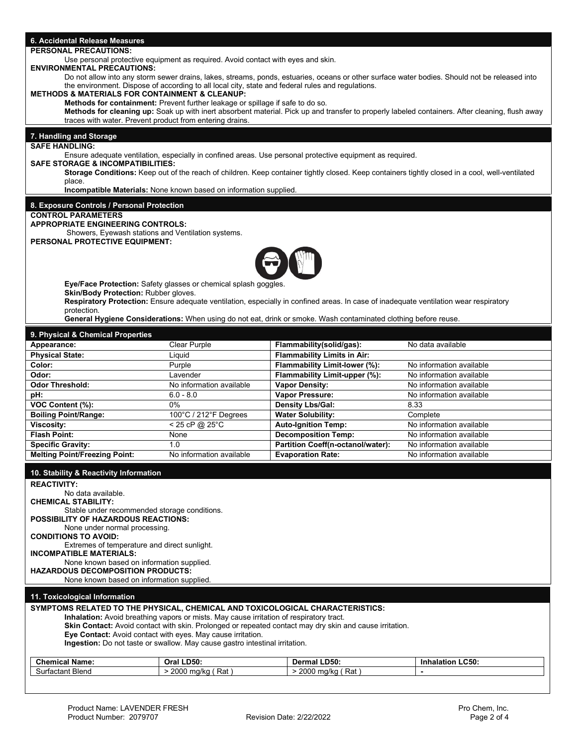| 6. Accidental Release Measures                                                                                                                                           |                                                                                                   |                                                                                                                                       |                                                                                                                                                 |  |  |  |  |
|--------------------------------------------------------------------------------------------------------------------------------------------------------------------------|---------------------------------------------------------------------------------------------------|---------------------------------------------------------------------------------------------------------------------------------------|-------------------------------------------------------------------------------------------------------------------------------------------------|--|--|--|--|
| <b>PERSONAL PRECAUTIONS:</b>                                                                                                                                             |                                                                                                   |                                                                                                                                       |                                                                                                                                                 |  |  |  |  |
|                                                                                                                                                                          | Use personal protective equipment as required. Avoid contact with eyes and skin.                  |                                                                                                                                       |                                                                                                                                                 |  |  |  |  |
| <b>ENVIRONMENTAL PRECAUTIONS:</b>                                                                                                                                        |                                                                                                   |                                                                                                                                       |                                                                                                                                                 |  |  |  |  |
|                                                                                                                                                                          |                                                                                                   |                                                                                                                                       | Do not allow into any storm sewer drains, lakes, streams, ponds, estuaries, oceans or other surface water bodies. Should not be released into   |  |  |  |  |
| <b>METHODS &amp; MATERIALS FOR CONTAINMENT &amp; CLEANUP:</b>                                                                                                            | the environment. Dispose of according to all local city, state and federal rules and regulations. |                                                                                                                                       |                                                                                                                                                 |  |  |  |  |
|                                                                                                                                                                          | Methods for containment: Prevent further leakage or spillage if safe to do so.                    |                                                                                                                                       |                                                                                                                                                 |  |  |  |  |
|                                                                                                                                                                          |                                                                                                   |                                                                                                                                       | Methods for cleaning up: Soak up with inert absorbent material. Pick up and transfer to properly labeled containers. After cleaning, flush away |  |  |  |  |
| traces with water. Prevent product from entering drains.                                                                                                                 |                                                                                                   |                                                                                                                                       |                                                                                                                                                 |  |  |  |  |
| 7. Handling and Storage                                                                                                                                                  |                                                                                                   |                                                                                                                                       |                                                                                                                                                 |  |  |  |  |
| <b>SAFE HANDLING:</b>                                                                                                                                                    |                                                                                                   |                                                                                                                                       |                                                                                                                                                 |  |  |  |  |
|                                                                                                                                                                          |                                                                                                   | Ensure adequate ventilation, especially in confined areas. Use personal protective equipment as required.                             |                                                                                                                                                 |  |  |  |  |
| <b>SAFE STORAGE &amp; INCOMPATIBILITIES:</b>                                                                                                                             |                                                                                                   |                                                                                                                                       | Storage Conditions: Keep out of the reach of children. Keep container tightly closed. Keep containers tightly closed in a cool, well-ventilated |  |  |  |  |
| place.                                                                                                                                                                   |                                                                                                   |                                                                                                                                       |                                                                                                                                                 |  |  |  |  |
|                                                                                                                                                                          | Incompatible Materials: None known based on information supplied.                                 |                                                                                                                                       |                                                                                                                                                 |  |  |  |  |
| 8. Exposure Controls / Personal Protection                                                                                                                               |                                                                                                   |                                                                                                                                       |                                                                                                                                                 |  |  |  |  |
| <b>CONTROL PARAMETERS</b>                                                                                                                                                |                                                                                                   |                                                                                                                                       |                                                                                                                                                 |  |  |  |  |
| <b>APPROPRIATE ENGINEERING CONTROLS:</b>                                                                                                                                 |                                                                                                   |                                                                                                                                       |                                                                                                                                                 |  |  |  |  |
| Showers, Eyewash stations and Ventilation systems.                                                                                                                       |                                                                                                   |                                                                                                                                       |                                                                                                                                                 |  |  |  |  |
| <b>PERSONAL PROTECTIVE EQUIPMENT:</b>                                                                                                                                    |                                                                                                   |                                                                                                                                       |                                                                                                                                                 |  |  |  |  |
|                                                                                                                                                                          |                                                                                                   |                                                                                                                                       |                                                                                                                                                 |  |  |  |  |
|                                                                                                                                                                          |                                                                                                   |                                                                                                                                       |                                                                                                                                                 |  |  |  |  |
|                                                                                                                                                                          |                                                                                                   |                                                                                                                                       |                                                                                                                                                 |  |  |  |  |
| Skin/Body Protection: Rubber gloves.                                                                                                                                     | Eye/Face Protection: Safety glasses or chemical splash goggles.                                   |                                                                                                                                       |                                                                                                                                                 |  |  |  |  |
|                                                                                                                                                                          |                                                                                                   | Respiratory Protection: Ensure adequate ventilation, especially in confined areas. In case of inadequate ventilation wear respiratory |                                                                                                                                                 |  |  |  |  |
| protection.                                                                                                                                                              |                                                                                                   |                                                                                                                                       |                                                                                                                                                 |  |  |  |  |
|                                                                                                                                                                          |                                                                                                   | General Hygiene Considerations: When using do not eat, drink or smoke. Wash contaminated clothing before reuse.                       |                                                                                                                                                 |  |  |  |  |
| 9. Physical & Chemical Properties                                                                                                                                        |                                                                                                   |                                                                                                                                       |                                                                                                                                                 |  |  |  |  |
| Appearance:                                                                                                                                                              | Clear Purple                                                                                      | Flammability(solid/gas):                                                                                                              | No data available                                                                                                                               |  |  |  |  |
| <b>Physical State:</b>                                                                                                                                                   | Liquid                                                                                            | <b>Flammability Limits in Air:</b>                                                                                                    |                                                                                                                                                 |  |  |  |  |
| Color:                                                                                                                                                                   | Purple                                                                                            | Flammability Limit-lower (%):                                                                                                         | No information available                                                                                                                        |  |  |  |  |
| Odor:                                                                                                                                                                    | Lavender                                                                                          | Flammability Limit-upper (%):                                                                                                         | No information available                                                                                                                        |  |  |  |  |
| <b>Odor Threshold:</b>                                                                                                                                                   | No information available<br>$6.0 - 8.0$                                                           | <b>Vapor Density:</b>                                                                                                                 | No information available<br>No information available                                                                                            |  |  |  |  |
| pH:<br>VOC Content (%):                                                                                                                                                  | 0%                                                                                                | Vapor Pressure:<br><b>Density Lbs/Gal:</b>                                                                                            | 8.33                                                                                                                                            |  |  |  |  |
| <b>Boiling Point/Range:</b>                                                                                                                                              | 100°C / 212°F Degrees                                                                             | <b>Water Solubility:</b>                                                                                                              | Complete                                                                                                                                        |  |  |  |  |
| <b>Viscosity:</b>                                                                                                                                                        | $< 25$ cP @ 25°C                                                                                  | <b>Auto-Ignition Temp:</b>                                                                                                            | No information available                                                                                                                        |  |  |  |  |
| <b>Flash Point:</b>                                                                                                                                                      | None                                                                                              | <b>Decomposition Temp:</b>                                                                                                            | No information available                                                                                                                        |  |  |  |  |
| <b>Specific Gravity:</b>                                                                                                                                                 | 1.0                                                                                               | Partition Coeff(n-octanol/water):                                                                                                     | No information available                                                                                                                        |  |  |  |  |
| <b>Melting Point/Freezing Point:</b>                                                                                                                                     | No information available                                                                          | <b>Evaporation Rate:</b>                                                                                                              | No information available                                                                                                                        |  |  |  |  |
| 10. Stability & Reactivity Information                                                                                                                                   |                                                                                                   |                                                                                                                                       |                                                                                                                                                 |  |  |  |  |
| <b>REACTIVITY:</b>                                                                                                                                                       |                                                                                                   |                                                                                                                                       |                                                                                                                                                 |  |  |  |  |
| No data available.                                                                                                                                                       |                                                                                                   |                                                                                                                                       |                                                                                                                                                 |  |  |  |  |
| <b>CHEMICAL STABILITY:</b>                                                                                                                                               |                                                                                                   |                                                                                                                                       |                                                                                                                                                 |  |  |  |  |
| Stable under recommended storage conditions.                                                                                                                             |                                                                                                   |                                                                                                                                       |                                                                                                                                                 |  |  |  |  |
| <b>POSSIBILITY OF HAZARDOUS REACTIONS:</b><br>None under normal processing.                                                                                              |                                                                                                   |                                                                                                                                       |                                                                                                                                                 |  |  |  |  |
| <b>CONDITIONS TO AVOID:</b>                                                                                                                                              |                                                                                                   |                                                                                                                                       |                                                                                                                                                 |  |  |  |  |
| Extremes of temperature and direct sunlight.                                                                                                                             |                                                                                                   |                                                                                                                                       |                                                                                                                                                 |  |  |  |  |
| <b>INCOMPATIBLE MATERIALS:</b><br>None known based on information supplied.                                                                                              |                                                                                                   |                                                                                                                                       |                                                                                                                                                 |  |  |  |  |
| <b>HAZARDOUS DECOMPOSITION PRODUCTS:</b>                                                                                                                                 |                                                                                                   |                                                                                                                                       |                                                                                                                                                 |  |  |  |  |
| None known based on information supplied.                                                                                                                                |                                                                                                   |                                                                                                                                       |                                                                                                                                                 |  |  |  |  |
|                                                                                                                                                                          |                                                                                                   |                                                                                                                                       |                                                                                                                                                 |  |  |  |  |
| 11. Toxicological Information                                                                                                                                            |                                                                                                   |                                                                                                                                       |                                                                                                                                                 |  |  |  |  |
| SYMPTOMS RELATED TO THE PHYSICAL, CHEMICAL AND TOXICOLOGICAL CHARACTERISTICS:<br>Inhalation: Avoid breathing vapors or mists. May cause irritation of respiratory tract. |                                                                                                   |                                                                                                                                       |                                                                                                                                                 |  |  |  |  |
| Skin Contact: Avoid contact with skin. Prolonged or repeated contact may dry skin and cause irritation.                                                                  |                                                                                                   |                                                                                                                                       |                                                                                                                                                 |  |  |  |  |
|                                                                                                                                                                          | Eye Contact: Avoid contact with eyes. May cause irritation.                                       |                                                                                                                                       |                                                                                                                                                 |  |  |  |  |
|                                                                                                                                                                          |                                                                                                   |                                                                                                                                       |                                                                                                                                                 |  |  |  |  |
|                                                                                                                                                                          | Ingestion: Do not taste or swallow. May cause gastro intestinal irritation.                       |                                                                                                                                       |                                                                                                                                                 |  |  |  |  |
| <b>Chemical Name:</b>                                                                                                                                                    | Oral LD50:                                                                                        | Dermal LD50:                                                                                                                          | <b>Inhalation LC50:</b>                                                                                                                         |  |  |  |  |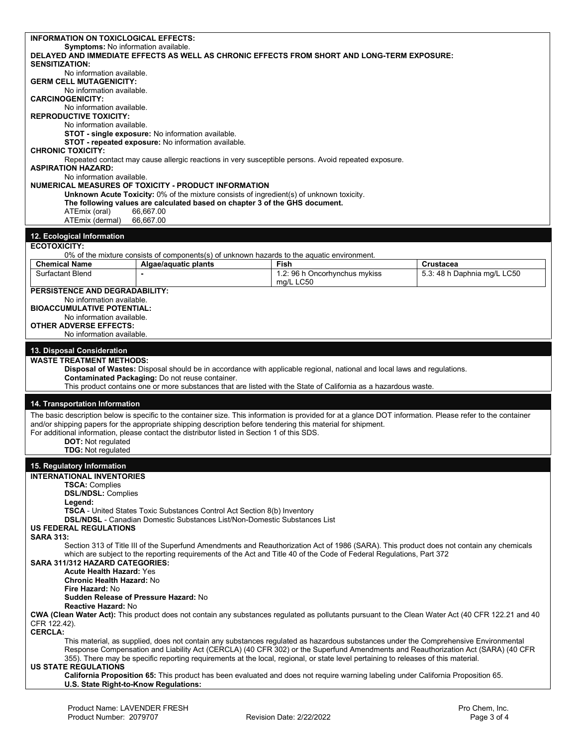| <b>INFORMATION ON TOXICLOGICAL EFFECTS:</b><br><b>Symptoms:</b> No information available.<br>DELAYED AND IMMEDIATE EFFECTS AS WELL AS CHRONIC EFFECTS FROM SHORT AND LONG-TERM EXPOSURE:<br><b>SENSITIZATION:</b><br>No information available.<br><b>GERM CELL MUTAGENICITY:</b><br>No information available.<br><b>CARCINOGENICITY:</b><br>No information available.<br><b>REPRODUCTIVE TOXICITY:</b><br>No information available.<br>STOT - single exposure: No information available.<br>STOT - repeated exposure: No information available.<br><b>CHRONIC TOXICITY:</b><br>Repeated contact may cause allergic reactions in very susceptible persons. Avoid repeated exposure. |                                       |                                          |  |  |  |  |
|------------------------------------------------------------------------------------------------------------------------------------------------------------------------------------------------------------------------------------------------------------------------------------------------------------------------------------------------------------------------------------------------------------------------------------------------------------------------------------------------------------------------------------------------------------------------------------------------------------------------------------------------------------------------------------|---------------------------------------|------------------------------------------|--|--|--|--|
| <b>ASPIRATION HAZARD:</b><br>No information available.<br>NUMERICAL MEASURES OF TOXICITY - PRODUCT INFORMATION<br><b>Unknown Acute Toxicity: 0% of the mixture consists of ingredient(s) of unknown toxicity.</b><br>The following values are calculated based on chapter 3 of the GHS document.<br>66,667.00<br>ATEmix (oral)<br>ATEmix (dermal)<br>66,667.00                                                                                                                                                                                                                                                                                                                     |                                       |                                          |  |  |  |  |
| 12. Ecological Information                                                                                                                                                                                                                                                                                                                                                                                                                                                                                                                                                                                                                                                         |                                       |                                          |  |  |  |  |
| <b>ECOTOXICITY:</b>                                                                                                                                                                                                                                                                                                                                                                                                                                                                                                                                                                                                                                                                |                                       |                                          |  |  |  |  |
| 0% of the mixture consists of components(s) of unknown hazards to the aquatic environment.                                                                                                                                                                                                                                                                                                                                                                                                                                                                                                                                                                                         |                                       |                                          |  |  |  |  |
| <b>Chemical Name</b><br>Algae/aquatic plants<br><b>Surfactant Blend</b>                                                                                                                                                                                                                                                                                                                                                                                                                                                                                                                                                                                                            | Fish<br>1.2: 96 h Oncorhynchus mykiss | Crustacea<br>5.3: 48 h Daphnia mg/L LC50 |  |  |  |  |
| PERSISTENCE AND DEGRADABILITY:<br>No information available.<br><b>BIOACCUMULATIVE POTENTIAL:</b><br>No information available.<br><b>OTHER ADVERSE EFFECTS:</b><br>No information available.                                                                                                                                                                                                                                                                                                                                                                                                                                                                                        | ma/L LC50                             |                                          |  |  |  |  |
| 13. Disposal Consideration                                                                                                                                                                                                                                                                                                                                                                                                                                                                                                                                                                                                                                                         |                                       |                                          |  |  |  |  |
| <b>WASTE TREATMENT METHODS:</b><br>Disposal of Wastes: Disposal should be in accordance with applicable regional, national and local laws and regulations.<br>Contaminated Packaging: Do not reuse container.<br>This product contains one or more substances that are listed with the State of California as a hazardous waste.                                                                                                                                                                                                                                                                                                                                                   |                                       |                                          |  |  |  |  |
| 14. Transportation Information                                                                                                                                                                                                                                                                                                                                                                                                                                                                                                                                                                                                                                                     |                                       |                                          |  |  |  |  |
| The basic description below is specific to the container size. This information is provided for at a glance DOT information. Please refer to the container<br>and/or shipping papers for the appropriate shipping description before tendering this material for shipment.<br>For additional information, please contact the distributor listed in Section 1 of this SDS.<br><b>DOT:</b> Not regulated<br><b>TDG: Not regulated</b>                                                                                                                                                                                                                                                |                                       |                                          |  |  |  |  |
| 15. Regulatory Information                                                                                                                                                                                                                                                                                                                                                                                                                                                                                                                                                                                                                                                         |                                       |                                          |  |  |  |  |
| <b>INTERNATIONAL INVENTORIES</b><br><b>TSCA: Complies</b><br><b>DSL/NDSL: Complies</b><br>Legend:<br>TSCA - United States Toxic Substances Control Act Section 8(b) Inventory<br><b>DSL/NDSL - Canadian Domestic Substances List/Non-Domestic Substances List</b><br><b>US FEDERAL REGULATIONS</b>                                                                                                                                                                                                                                                                                                                                                                                 |                                       |                                          |  |  |  |  |
| <b>SARA 313:</b><br>Section 313 of Title III of the Superfund Amendments and Reauthorization Act of 1986 (SARA). This product does not contain any chemicals<br>which are subject to the reporting requirements of the Act and Title 40 of the Code of Federal Requlations, Part 372<br>SARA 311/312 HAZARD CATEGORIES:<br><b>Acute Health Hazard: Yes</b><br><b>Chronic Health Hazard: No</b><br>Fire Hazard: No<br>Sudden Release of Pressure Hazard: No                                                                                                                                                                                                                         |                                       |                                          |  |  |  |  |
| Reactive Hazard: No<br>CWA (Clean Water Act): This product does not contain any substances regulated as pollutants pursuant to the Clean Water Act (40 CFR 122.21 and 40<br>CFR 122.42).<br><b>CERCLA:</b>                                                                                                                                                                                                                                                                                                                                                                                                                                                                         |                                       |                                          |  |  |  |  |
| This material, as supplied, does not contain any substances regulated as hazardous substances under the Comprehensive Environmental<br>Response Compensation and Liability Act (CERCLA) (40 CFR 302) or the Superfund Amendments and Reauthorization Act (SARA) (40 CFR<br>355). There may be specific reporting requirements at the local, regional, or state level pertaining to releases of this material.                                                                                                                                                                                                                                                                      |                                       |                                          |  |  |  |  |
| <b>US STATE REGULATIONS</b><br>California Proposition 65: This product has been evaluated and does not require warning labeling under California Proposition 65.<br>U.S. State Right-to-Know Regulations:                                                                                                                                                                                                                                                                                                                                                                                                                                                                          |                                       |                                          |  |  |  |  |